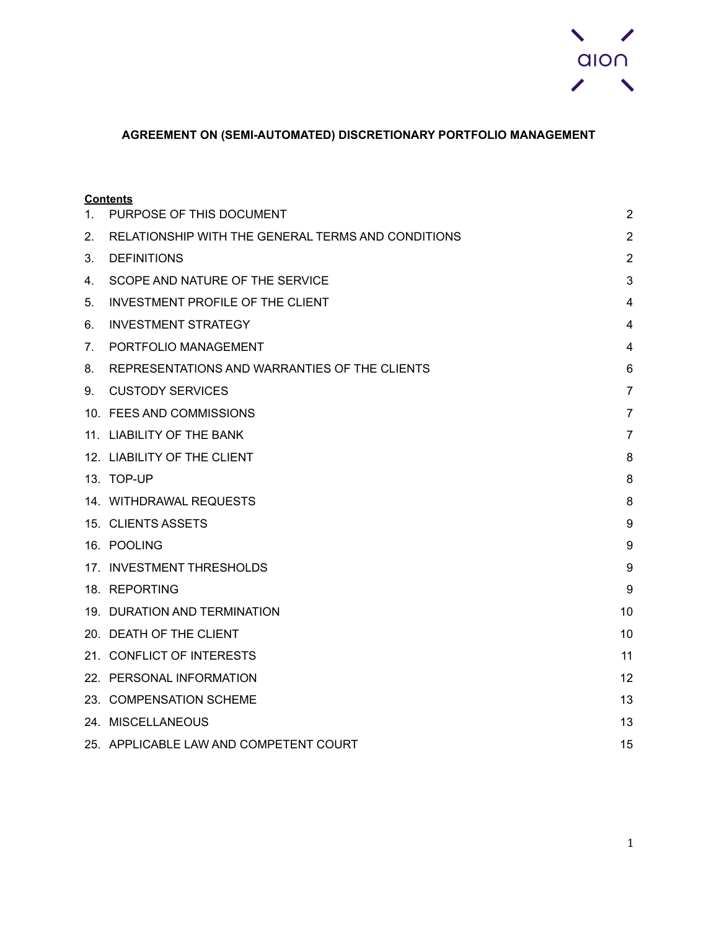

# **AGREEMENT ON (SEMI-AUTOMATED) DISCRETIONARY PORTFOLIO MANAGEMENT**

|         | <b>Contents</b>                                    |                |
|---------|----------------------------------------------------|----------------|
| $1_{-}$ | PURPOSE OF THIS DOCUMENT                           | $\overline{2}$ |
| 2.      | RELATIONSHIP WITH THE GENERAL TERMS AND CONDITIONS | $\overline{2}$ |
| 3.      | <b>DEFINITIONS</b>                                 | $\overline{2}$ |
| 4.      | SCOPE AND NATURE OF THE SERVICE                    | 3              |
| 5.      | <b>INVESTMENT PROFILE OF THE CLIENT</b>            | 4              |
| 6.      | <b>INVESTMENT STRATEGY</b>                         | 4              |
| 7.      | PORTFOLIO MANAGEMENT                               | 4              |
| 8.      | REPRESENTATIONS AND WARRANTIES OF THE CLIENTS      | 6              |
| 9.      | <b>CUSTODY SERVICES</b>                            | $\overline{7}$ |
|         | 10. FEES AND COMMISSIONS                           | $\overline{7}$ |
|         | 11. LIABILITY OF THE BANK                          | $\overline{7}$ |
|         | 12. LIABILITY OF THE CLIENT                        | 8              |
|         | 13. TOP-UP                                         | 8              |
|         | 14. WITHDRAWAL REQUESTS                            | 8              |
|         | 15. CLIENTS ASSETS                                 | 9              |
|         | 16. POOLING                                        | 9              |
|         | 17. INVESTMENT THRESHOLDS                          | 9              |
|         | 18. REPORTING                                      | 9              |
|         | 19. DURATION AND TERMINATION                       | 10             |
|         | 20. DEATH OF THE CLIENT                            | 10             |
|         | 21. CONFLICT OF INTERESTS                          | 11             |
|         | 22. PERSONAL INFORMATION                           | 12             |
|         | 23. COMPENSATION SCHEME                            | 13             |
|         | 24. MISCELLANEOUS                                  | 13             |
|         | 25. APPLICABLE LAW AND COMPETENT COURT             | 15             |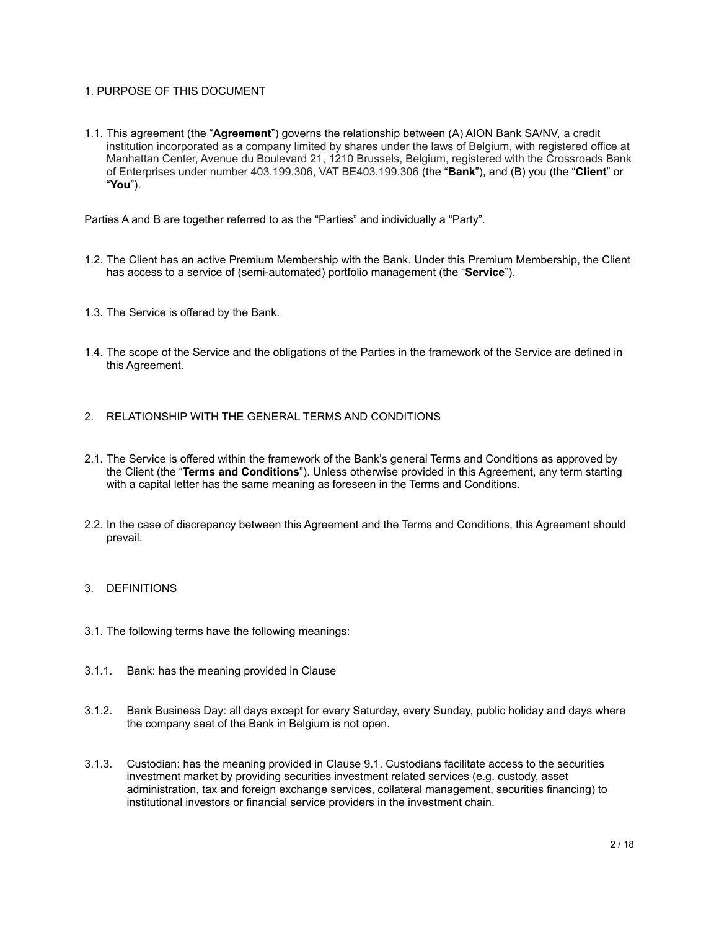# <span id="page-1-0"></span>1. PURPOSE OF THIS DOCUMENT

1.1. This agreement (the "**Agreement**") governs the relationship between (A) AION Bank SA/NV, a credit institution incorporated as a company limited by shares under the laws of Belgium, with registered office at Manhattan Center, Avenue du Boulevard 21, 1210 Brussels, Belgium, registered with the Crossroads Bank of Enterprises under number 403.199.306, VAT BE403.199.306 (the "**Bank**"), and (B) you (the "**Client**" or "**You**").

Parties A and B are together referred to as the "Parties" and individually a "Party".

- 1.2. The Client has an active Premium Membership with the Bank. Under this Premium Membership, the Client has access to a service of (semi-automated) portfolio management (the "**Service**").
- 1.3. The Service is offered by the Bank.
- 1.4. The scope of the Service and the obligations of the Parties in the framework of the Service are defined in this Agreement.
- <span id="page-1-1"></span>2. RELATIONSHIP WITH THE GENERAL TERMS AND CONDITIONS
- 2.1. The Service is offered within the framework of the Bank's general Terms and Conditions as approved by the Client (the "**Terms and Conditions**"). Unless otherwise provided in this Agreement, any term starting with a capital letter has the same meaning as foreseen in the Terms and Conditions.
- 2.2. In the case of discrepancy between this Agreement and the Terms and Conditions, this Agreement should prevail.
- <span id="page-1-2"></span>3. DEFINITIONS
- 3.1. The following terms have the following meanings:
- 3.1.1. Bank: has the meaning provided in Clause
- 3.1.2. Bank Business Day: all days except for every Saturday, every Sunday, public holiday and days where the company seat of the Bank in Belgium is not open.
- 3.1.3. Custodian: has the meaning provided in Clause 9.1. Custodians facilitate access to the securities investment market by providing securities investment related services (e.g. custody, asset administration, tax and foreign exchange services, collateral management, securities financing) to institutional investors or financial service providers in the investment chain.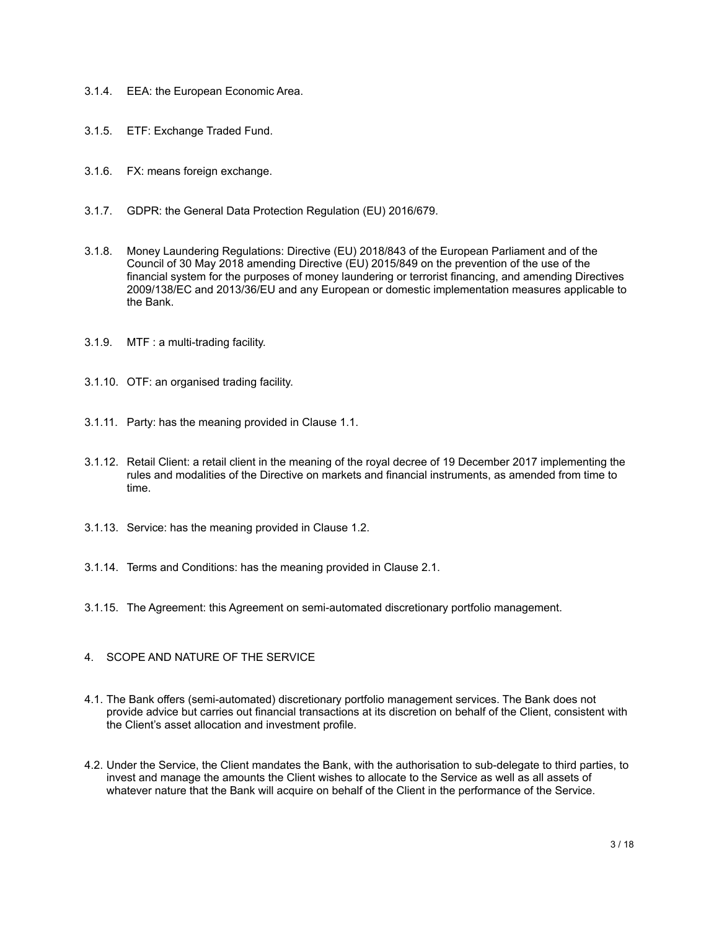- 3.1.4. EEA: the European Economic Area.
- 3.1.5. ETF: Exchange Traded Fund.
- 3.1.6. FX: means foreign exchange.
- 3.1.7. GDPR: the General Data Protection Regulation (EU) 2016/679.
- 3.1.8. Money Laundering Regulations: Directive (EU) 2018/843 of the European Parliament and of the Council of 30 May 2018 amending Directive (EU) 2015/849 on the prevention of the use of the financial system for the purposes of money laundering or terrorist financing, and amending Directives 2009/138/EC and 2013/36/EU and any European or domestic implementation measures applicable to the Bank.
- 3.1.9. MTF : a multi-trading facility.
- 3.1.10. OTF: an organised trading facility.
- 3.1.11. Party: has the meaning provided in Clause 1.1.
- 3.1.12. Retail Client: a retail client in the meaning of the royal decree of 19 December 2017 implementing the rules and modalities of the Directive on markets and financial instruments, as amended from time to time.
- 3.1.13. Service: has the meaning provided in Clause 1.2.
- 3.1.14. Terms and Conditions: has the meaning provided in Clause 2.1.
- 3.1.15. The Agreement: this Agreement on semi-automated discretionary portfolio management.
- <span id="page-2-0"></span>4. SCOPE AND NATURE OF THE SERVICE
- 4.1. The Bank offers (semi-automated) discretionary portfolio management services. The Bank does not provide advice but carries out financial transactions at its discretion on behalf of the Client, consistent with the Client's asset allocation and investment profile.
- 4.2. Under the Service, the Client mandates the Bank, with the authorisation to sub-delegate to third parties, to invest and manage the amounts the Client wishes to allocate to the Service as well as all assets of whatever nature that the Bank will acquire on behalf of the Client in the performance of the Service.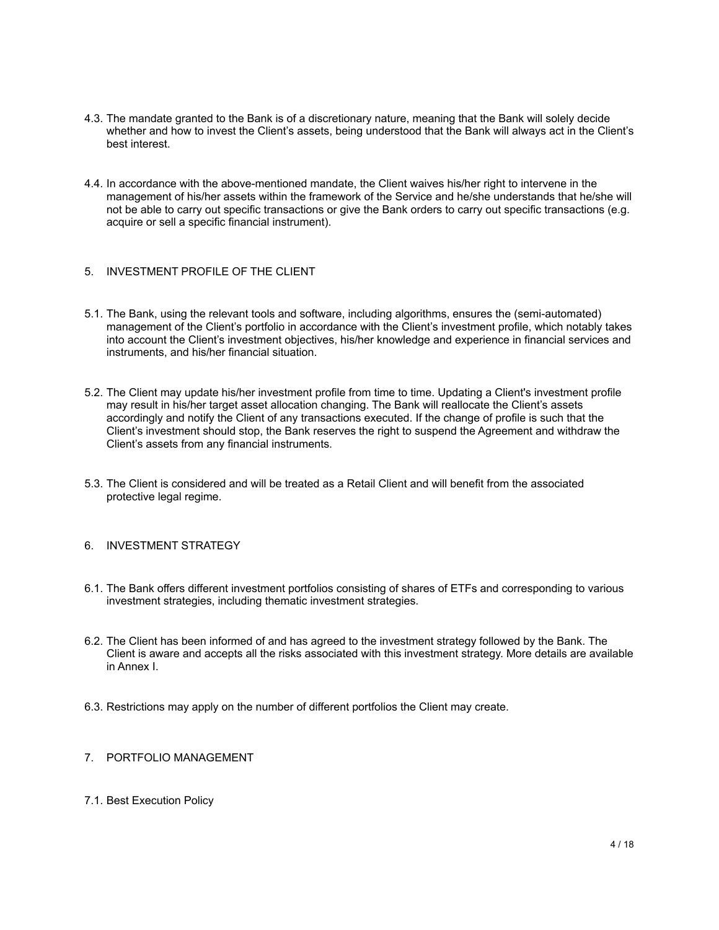- 4.3. The mandate granted to the Bank is of a discretionary nature, meaning that the Bank will solely decide whether and how to invest the Client's assets, being understood that the Bank will always act in the Client's best interest.
- 4.4. In accordance with the above-mentioned mandate, the Client waives his/her right to intervene in the management of his/her assets within the framework of the Service and he/she understands that he/she will not be able to carry out specific transactions or give the Bank orders to carry out specific transactions (e.g. acquire or sell a specific financial instrument).
- <span id="page-3-0"></span>5. INVESTMENT PROFILE OF THE CLIENT
- 5.1. The Bank, using the relevant tools and software, including algorithms, ensures the (semi-automated) management of the Client's portfolio in accordance with the Client's investment profile, which notably takes into account the Client's investment objectives, his/her knowledge and experience in financial services and instruments, and his/her financial situation.
- 5.2. The Client may update his/her investment profile from time to time. Updating a Client's investment profile may result in his/her target asset allocation changing. The Bank will reallocate the Client's assets accordingly and notify the Client of any transactions executed. If the change of profile is such that the Client's investment should stop, the Bank reserves the right to suspend the Agreement and withdraw the Client's assets from any financial instruments.
- 5.3. The Client is considered and will be treated as a Retail Client and will benefit from the associated protective legal regime.
- <span id="page-3-1"></span>6. INVESTMENT STRATEGY
- 6.1. The Bank offers different investment portfolios consisting of shares of ETFs and corresponding to various investment strategies, including thematic investment strategies.
- 6.2. The Client has been informed of and has agreed to the investment strategy followed by the Bank. The Client is aware and accepts all the risks associated with this investment strategy. More details are available in Annex I.
- 6.3. Restrictions may apply on the number of different portfolios the Client may create.
- <span id="page-3-2"></span>7. PORTFOLIO MANAGEMENT
- 7.1. Best Execution Policy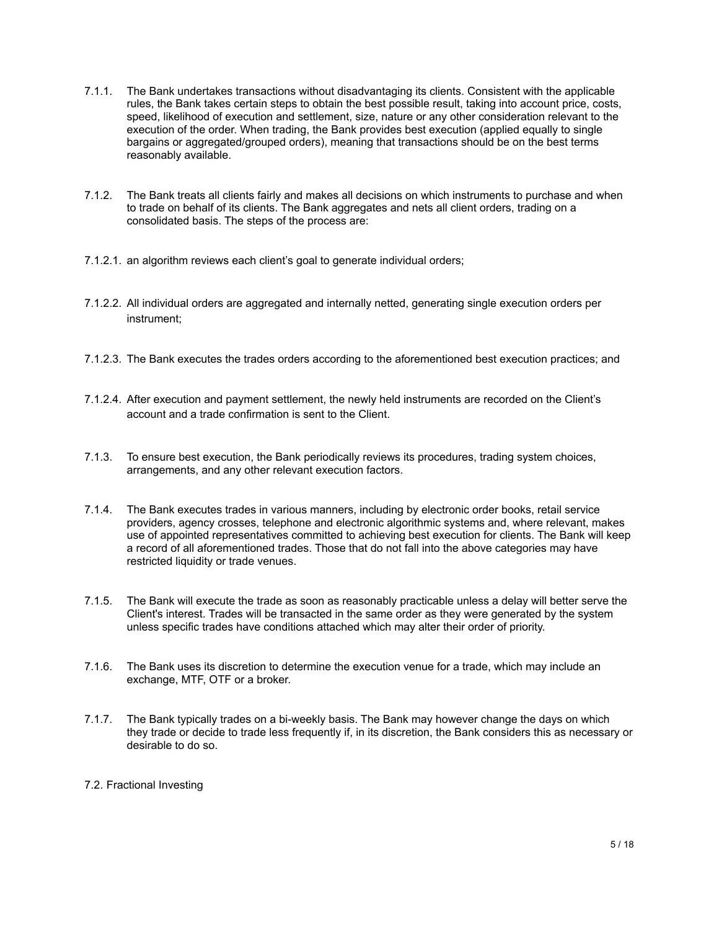- 7.1.1. The Bank undertakes transactions without disadvantaging its clients. Consistent with the applicable rules, the Bank takes certain steps to obtain the best possible result, taking into account price, costs, speed, likelihood of execution and settlement, size, nature or any other consideration relevant to the execution of the order. When trading, the Bank provides best execution (applied equally to single bargains or aggregated/grouped orders), meaning that transactions should be on the best terms reasonably available.
- 7.1.2. The Bank treats all clients fairly and makes all decisions on which instruments to purchase and when to trade on behalf of its clients. The Bank aggregates and nets all client orders, trading on a consolidated basis. The steps of the process are:
- 7.1.2.1. an algorithm reviews each client's goal to generate individual orders;
- 7.1.2.2. All individual orders are aggregated and internally netted, generating single execution orders per instrument;
- 7.1.2.3. The Bank executes the trades orders according to the aforementioned best execution practices; and
- 7.1.2.4. After execution and payment settlement, the newly held instruments are recorded on the Client's account and a trade confirmation is sent to the Client.
- 7.1.3. To ensure best execution, the Bank periodically reviews its procedures, trading system choices, arrangements, and any other relevant execution factors.
- 7.1.4. The Bank executes trades in various manners, including by electronic order books, retail service providers, agency crosses, telephone and electronic algorithmic systems and, where relevant, makes use of appointed representatives committed to achieving best execution for clients. The Bank will keep a record of all aforementioned trades. Those that do not fall into the above categories may have restricted liquidity or trade venues.
- 7.1.5. The Bank will execute the trade as soon as reasonably practicable unless a delay will better serve the Client's interest. Trades will be transacted in the same order as they were generated by the system unless specific trades have conditions attached which may alter their order of priority.
- 7.1.6. The Bank uses its discretion to determine the execution venue for a trade, which may include an exchange, MTF, OTF or a broker.
- 7.1.7. The Bank typically trades on a bi-weekly basis. The Bank may however change the days on which they trade or decide to trade less frequently if, in its discretion, the Bank considers this as necessary or desirable to do so.

# 7.2. Fractional Investing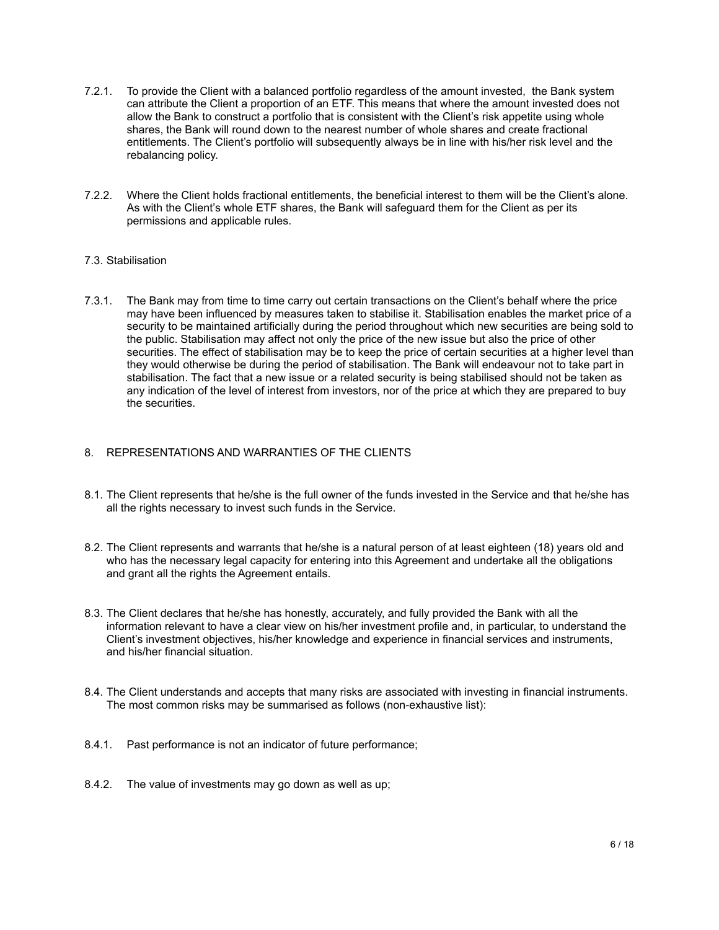- 7.2.1. To provide the Client with a balanced portfolio regardless of the amount invested, the Bank system can attribute the Client a proportion of an ETF. This means that where the amount invested does not allow the Bank to construct a portfolio that is consistent with the Client's risk appetite using whole shares, the Bank will round down to the nearest number of whole shares and create fractional entitlements. The Client's portfolio will subsequently always be in line with his/her risk level and the rebalancing policy.
- 7.2.2. Where the Client holds fractional entitlements, the beneficial interest to them will be the Client's alone. As with the Client's whole ETF shares, the Bank will safeguard them for the Client as per its permissions and applicable rules.

# 7.3. Stabilisation

7.3.1. The Bank may from time to time carry out certain transactions on the Client's behalf where the price may have been influenced by measures taken to stabilise it. Stabilisation enables the market price of a security to be maintained artificially during the period throughout which new securities are being sold to the public. Stabilisation may affect not only the price of the new issue but also the price of other securities. The effect of stabilisation may be to keep the price of certain securities at a higher level than they would otherwise be during the period of stabilisation. The Bank will endeavour not to take part in stabilisation. The fact that a new issue or a related security is being stabilised should not be taken as any indication of the level of interest from investors, nor of the price at which they are prepared to buy the securities.

## <span id="page-5-0"></span>8. REPRESENTATIONS AND WARRANTIES OF THE CLIENTS

- 8.1. The Client represents that he/she is the full owner of the funds invested in the Service and that he/she has all the rights necessary to invest such funds in the Service.
- 8.2. The Client represents and warrants that he/she is a natural person of at least eighteen (18) years old and who has the necessary legal capacity for entering into this Agreement and undertake all the obligations and grant all the rights the Agreement entails.
- 8.3. The Client declares that he/she has honestly, accurately, and fully provided the Bank with all the information relevant to have a clear view on his/her investment profile and, in particular, to understand the Client's investment objectives, his/her knowledge and experience in financial services and instruments, and his/her financial situation.
- 8.4. The Client understands and accepts that many risks are associated with investing in financial instruments. The most common risks may be summarised as follows (non-exhaustive list):
- 8.4.1. Past performance is not an indicator of future performance;
- 8.4.2. The value of investments may go down as well as up;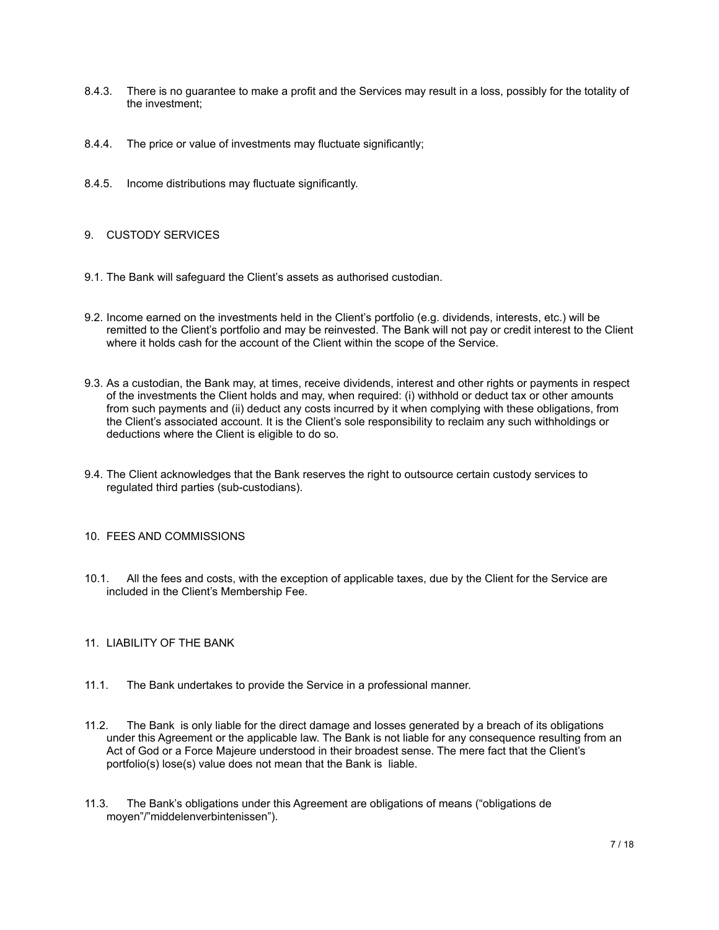- 8.4.3. There is no guarantee to make a profit and the Services may result in a loss, possibly for the totality of the investment;
- 8.4.4. The price or value of investments may fluctuate significantly;
- 8.4.5. Income distributions may fluctuate significantly.

# <span id="page-6-0"></span>9. CUSTODY SERVICES

- 9.1. The Bank will safeguard the Client's assets as authorised custodian.
- 9.2. Income earned on the investments held in the Client's portfolio (e.g. dividends, interests, etc.) will be remitted to the Client's portfolio and may be reinvested. The Bank will not pay or credit interest to the Client where it holds cash for the account of the Client within the scope of the Service.
- 9.3. As a custodian, the Bank may, at times, receive dividends, interest and other rights or payments in respect of the investments the Client holds and may, when required: (i) withhold or deduct tax or other amounts from such payments and (ii) deduct any costs incurred by it when complying with these obligations, from the Client's associated account. It is the Client's sole responsibility to reclaim any such withholdings or deductions where the Client is eligible to do so.
- 9.4. The Client acknowledges that the Bank reserves the right to outsource certain custody services to regulated third parties (sub-custodians).

#### <span id="page-6-1"></span>10. FEES AND COMMISSIONS

10.1. All the fees and costs, with the exception of applicable taxes, due by the Client for the Service are included in the Client's Membership Fee.

# <span id="page-6-2"></span>11. LIABILITY OF THE BANK

- 11.1. The Bank undertakes to provide the Service in a professional manner.
- 11.2. The Bank is only liable for the direct damage and losses generated by a breach of its obligations under this Agreement or the applicable law. The Bank is not liable for any consequence resulting from an Act of God or a Force Majeure understood in their broadest sense. The mere fact that the Client's portfolio(s) lose(s) value does not mean that the Bank is liable.
- 11.3. The Bank's obligations under this Agreement are obligations of means ("obligations de moyen"/"middelenverbintenissen").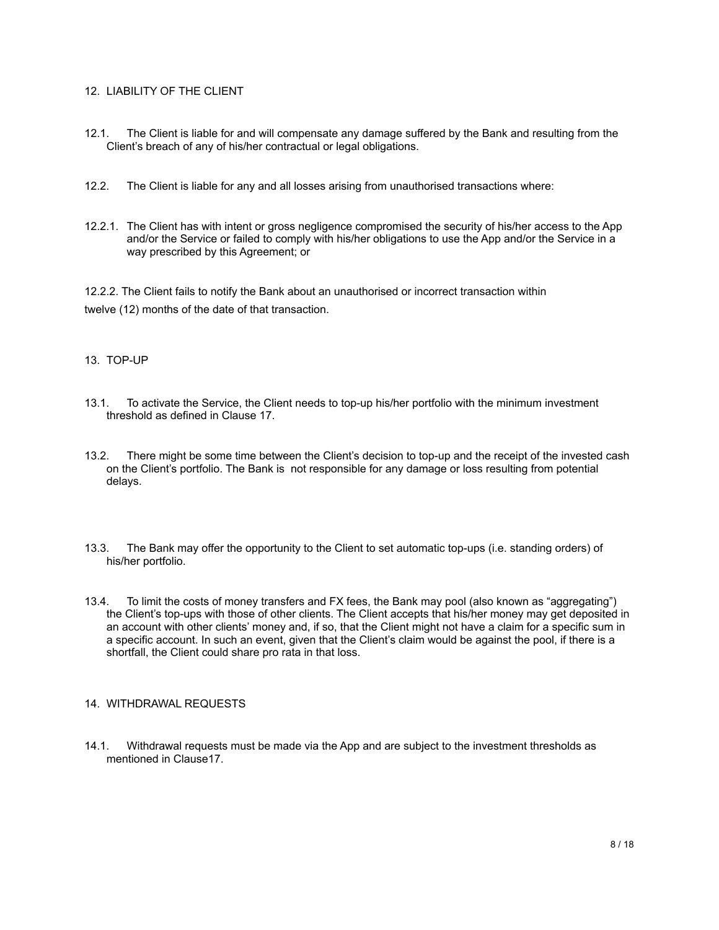# <span id="page-7-0"></span>12. LIABILITY OF THE CLIENT

- 12.1. The Client is liable for and will compensate any damage suffered by the Bank and resulting from the Client's breach of any of his/her contractual or legal obligations.
- 12.2. The Client is liable for any and all losses arising from unauthorised transactions where:
- 12.2.1. The Client has with intent or gross negligence compromised the security of his/her access to the App and/or the Service or failed to comply with his/her obligations to use the App and/or the Service in a way prescribed by this Agreement; or

12.2.2. The Client fails to notify the Bank about an unauthorised or incorrect transaction within twelve (12) months of the date of that transaction.

## <span id="page-7-1"></span>13. TOP-UP

- 13.1. To activate the Service, the Client needs to top-up his/her portfolio with the minimum investment threshold as defined in Clause 17.
- 13.2. There might be some time between the Client's decision to top-up and the receipt of the invested cash on the Client's portfolio. The Bank is not responsible for any damage or loss resulting from potential delays.
- 13.3. The Bank may offer the opportunity to the Client to set automatic top-ups (i.e. standing orders) of his/her portfolio.
- 13.4. To limit the costs of money transfers and FX fees, the Bank may pool (also known as "aggregating") the Client's top-ups with those of other clients. The Client accepts that his/her money may get deposited in an account with other clients' money and, if so, that the Client might not have a claim for a specific sum in a specific account. In such an event, given that the Client's claim would be against the pool, if there is a shortfall, the Client could share pro rata in that loss.

#### <span id="page-7-2"></span>14. WITHDRAWAL REQUESTS

14.1. Withdrawal requests must be made via the App and are subject to the investment thresholds as mentioned in Clause17.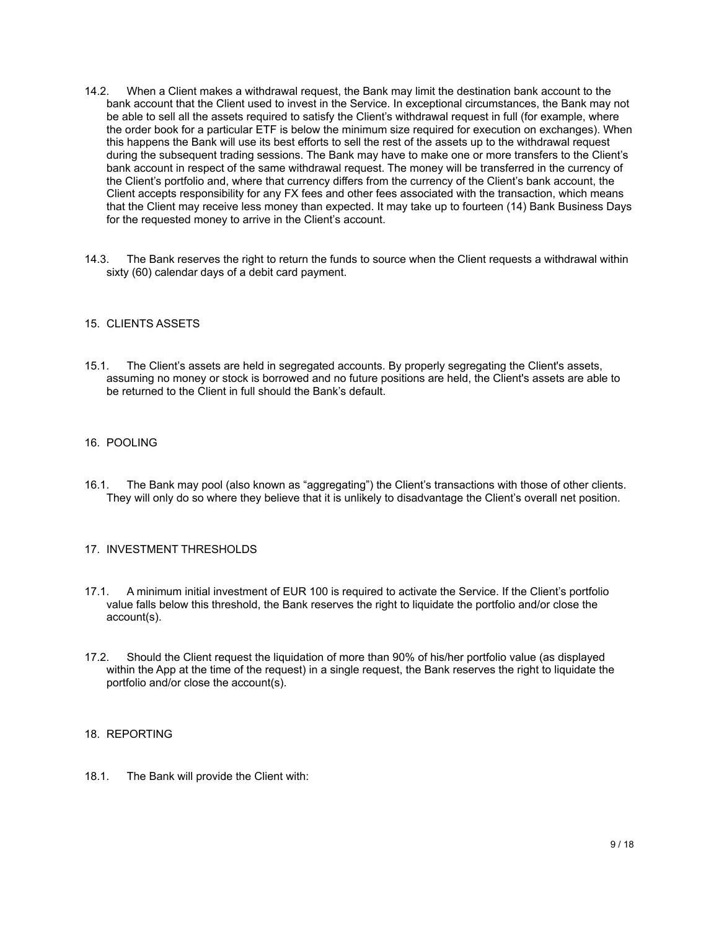- 14.2. When a Client makes a withdrawal request, the Bank may limit the destination bank account to the bank account that the Client used to invest in the Service. In exceptional circumstances, the Bank may not be able to sell all the assets required to satisfy the Client's withdrawal request in full (for example, where the order book for a particular ETF is below the minimum size required for execution on exchanges). When this happens the Bank will use its best efforts to sell the rest of the assets up to the withdrawal request during the subsequent trading sessions. The Bank may have to make one or more transfers to the Client's bank account in respect of the same withdrawal request. The money will be transferred in the currency of the Client's portfolio and, where that currency differs from the currency of the Client's bank account, the Client accepts responsibility for any FX fees and other fees associated with the transaction, which means that the Client may receive less money than expected. It may take up to fourteen (14) Bank Business Days for the requested money to arrive in the Client's account.
- 14.3. The Bank reserves the right to return the funds to source when the Client requests a withdrawal within sixty (60) calendar days of a debit card payment.

## <span id="page-8-0"></span>15. CLIENTS ASSETS

15.1. The Client's assets are held in segregated accounts. By properly segregating the Client's assets, assuming no money or stock is borrowed and no future positions are held, the Client's assets are able to be returned to the Client in full should the Bank's default.

## <span id="page-8-1"></span>16. POOLING

16.1. The Bank may pool (also known as "aggregating") the Client's transactions with those of other clients. They will only do so where they believe that it is unlikely to disadvantage the Client's overall net position.

#### <span id="page-8-2"></span>17. INVESTMENT THRESHOLDS

- 17.1. A minimum initial investment of EUR 100 is required to activate the Service. If the Client's portfolio value falls below this threshold, the Bank reserves the right to liquidate the portfolio and/or close the account(s).
- 17.2. Should the Client request the liquidation of more than 90% of his/her portfolio value (as displayed within the App at the time of the request) in a single request, the Bank reserves the right to liquidate the portfolio and/or close the account(s).

#### <span id="page-8-3"></span>18. REPORTING

18.1. The Bank will provide the Client with: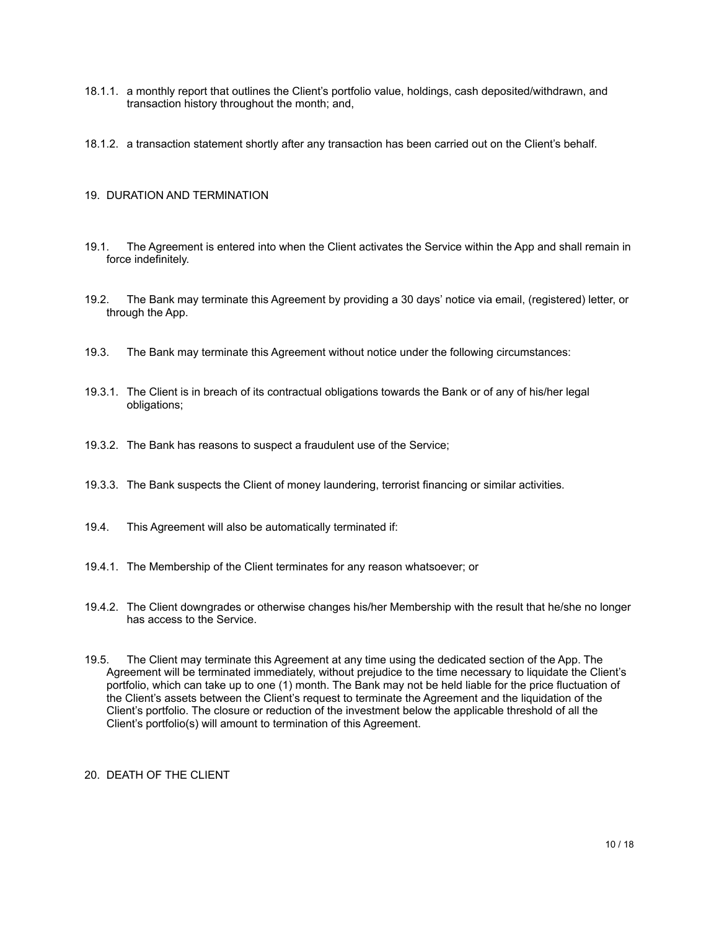- 18.1.1. a monthly report that outlines the Client's portfolio value, holdings, cash deposited/withdrawn, and transaction history throughout the month; and,
- 18.1.2. a transaction statement shortly after any transaction has been carried out on the Client's behalf.

## <span id="page-9-0"></span>19. DURATION AND TERMINATION

- 19.1. The Agreement is entered into when the Client activates the Service within the App and shall remain in force indefinitely.
- 19.2. The Bank may terminate this Agreement by providing a 30 days' notice via email, (registered) letter, or through the App.
- 19.3. The Bank may terminate this Agreement without notice under the following circumstances:
- 19.3.1. The Client is in breach of its contractual obligations towards the Bank or of any of his/her legal obligations;
- 19.3.2. The Bank has reasons to suspect a fraudulent use of the Service;
- 19.3.3. The Bank suspects the Client of money laundering, terrorist financing or similar activities.
- 19.4. This Agreement will also be automatically terminated if:
- 19.4.1. The Membership of the Client terminates for any reason whatsoever; or
- 19.4.2. The Client downgrades or otherwise changes his/her Membership with the result that he/she no longer has access to the Service.
- 19.5. The Client may terminate this Agreement at any time using the dedicated section of the App. The Agreement will be terminated immediately, without prejudice to the time necessary to liquidate the Client's portfolio, which can take up to one (1) month. The Bank may not be held liable for the price fluctuation of the Client's assets between the Client's request to terminate the Agreement and the liquidation of the Client's portfolio. The closure or reduction of the investment below the applicable threshold of all the Client's portfolio(s) will amount to termination of this Agreement.

<span id="page-9-1"></span>20. DEATH OF THE CLIENT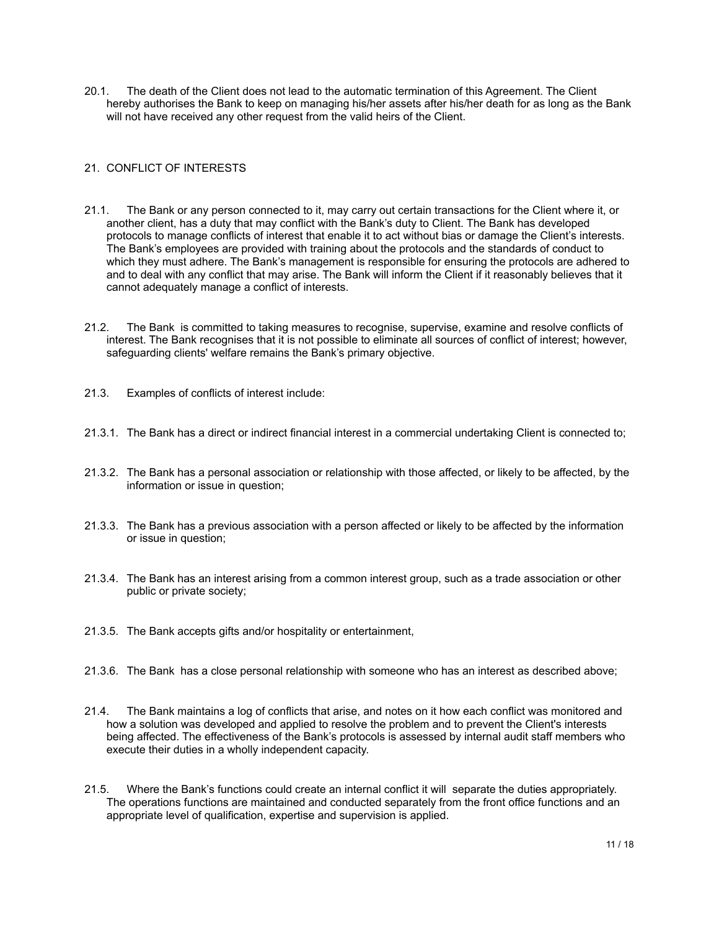20.1. The death of the Client does not lead to the automatic termination of this Agreement. The Client hereby authorises the Bank to keep on managing his/her assets after his/her death for as long as the Bank will not have received any other request from the valid heirs of the Client.

# <span id="page-10-0"></span>21. CONFLICT OF INTERESTS

- 21.1. The Bank or any person connected to it, may carry out certain transactions for the Client where it, or another client, has a duty that may conflict with the Bank's duty to Client. The Bank has developed protocols to manage conflicts of interest that enable it to act without bias or damage the Client's interests. The Bank's employees are provided with training about the protocols and the standards of conduct to which they must adhere. The Bank's management is responsible for ensuring the protocols are adhered to and to deal with any conflict that may arise. The Bank will inform the Client if it reasonably believes that it cannot adequately manage a conflict of interests.
- 21.2. The Bank is committed to taking measures to recognise, supervise, examine and resolve conflicts of interest. The Bank recognises that it is not possible to eliminate all sources of conflict of interest; however, safeguarding clients' welfare remains the Bank's primary objective.
- 21.3. Examples of conflicts of interest include:
- 21.3.1. The Bank has a direct or indirect financial interest in a commercial undertaking Client is connected to;
- 21.3.2. The Bank has a personal association or relationship with those affected, or likely to be affected, by the information or issue in question;
- 21.3.3. The Bank has a previous association with a person affected or likely to be affected by the information or issue in question;
- 21.3.4. The Bank has an interest arising from a common interest group, such as a trade association or other public or private society;
- 21.3.5. The Bank accepts gifts and/or hospitality or entertainment,
- 21.3.6. The Bank has a close personal relationship with someone who has an interest as described above;
- 21.4. The Bank maintains a log of conflicts that arise, and notes on it how each conflict was monitored and how a solution was developed and applied to resolve the problem and to prevent the Client's interests being affected. The effectiveness of the Bank's protocols is assessed by internal audit staff members who execute their duties in a wholly independent capacity.
- 21.5. Where the Bank's functions could create an internal conflict it will separate the duties appropriately. The operations functions are maintained and conducted separately from the front office functions and an appropriate level of qualification, expertise and supervision is applied.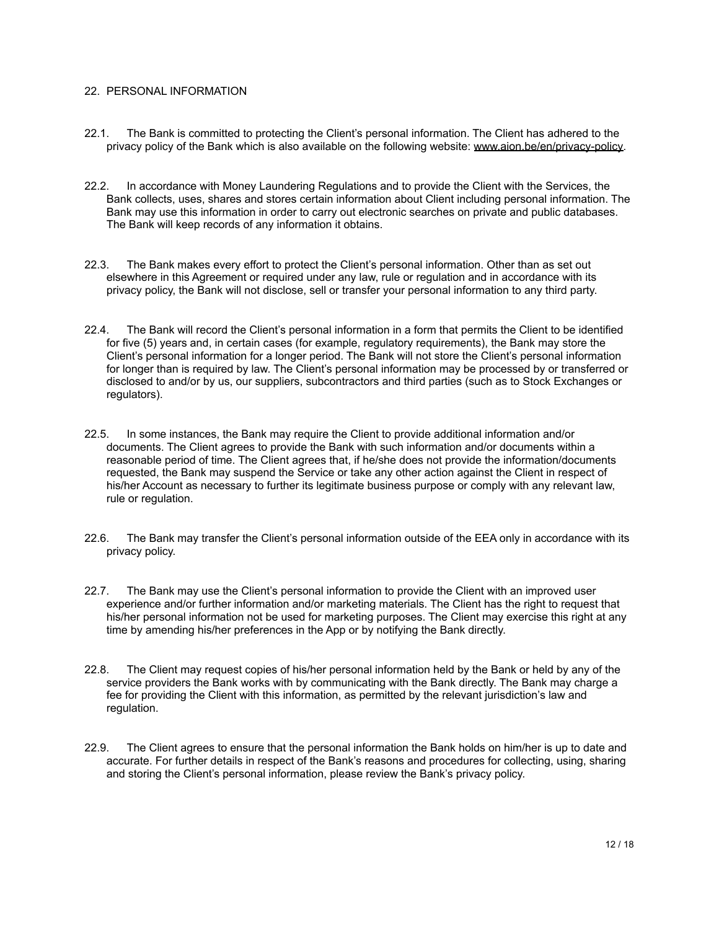## <span id="page-11-0"></span>22. PERSONAL INFORMATION

- 22.1. The Bank is committed to protecting the Client's personal information. The Client has adhered to the privacy policy of the Bank which is also available on the following website: [www.aion.be/en/privacy-policy.](http://www.aion.be/en/privacy-policy)
- 22.2. In accordance with Money Laundering Regulations and to provide the Client with the Services, the Bank collects, uses, shares and stores certain information about Client including personal information. The Bank may use this information in order to carry out electronic searches on private and public databases. The Bank will keep records of any information it obtains.
- 22.3. The Bank makes every effort to protect the Client's personal information. Other than as set out elsewhere in this Agreement or required under any law, rule or regulation and in accordance with its privacy policy, the Bank will not disclose, sell or transfer your personal information to any third party.
- 22.4. The Bank will record the Client's personal information in a form that permits the Client to be identified for five (5) years and, in certain cases (for example, regulatory requirements), the Bank may store the Client's personal information for a longer period. The Bank will not store the Client's personal information for longer than is required by law. The Client's personal information may be processed by or transferred or disclosed to and/or by us, our suppliers, subcontractors and third parties (such as to Stock Exchanges or regulators).
- 22.5. In some instances, the Bank may require the Client to provide additional information and/or documents. The Client agrees to provide the Bank with such information and/or documents within a reasonable period of time. The Client agrees that, if he/she does not provide the information/documents requested, the Bank may suspend the Service or take any other action against the Client in respect of his/her Account as necessary to further its legitimate business purpose or comply with any relevant law, rule or regulation.
- 22.6. The Bank may transfer the Client's personal information outside of the EEA only in accordance with its privacy policy.
- 22.7. The Bank may use the Client's personal information to provide the Client with an improved user experience and/or further information and/or marketing materials. The Client has the right to request that his/her personal information not be used for marketing purposes. The Client may exercise this right at any time by amending his/her preferences in the App or by notifying the Bank directly.
- 22.8. The Client may request copies of his/her personal information held by the Bank or held by any of the service providers the Bank works with by communicating with the Bank directly. The Bank may charge a fee for providing the Client with this information, as permitted by the relevant jurisdiction's law and regulation.
- 22.9. The Client agrees to ensure that the personal information the Bank holds on him/her is up to date and accurate. For further details in respect of the Bank's reasons and procedures for collecting, using, sharing and storing the Client's personal information, please review the Bank's privacy policy.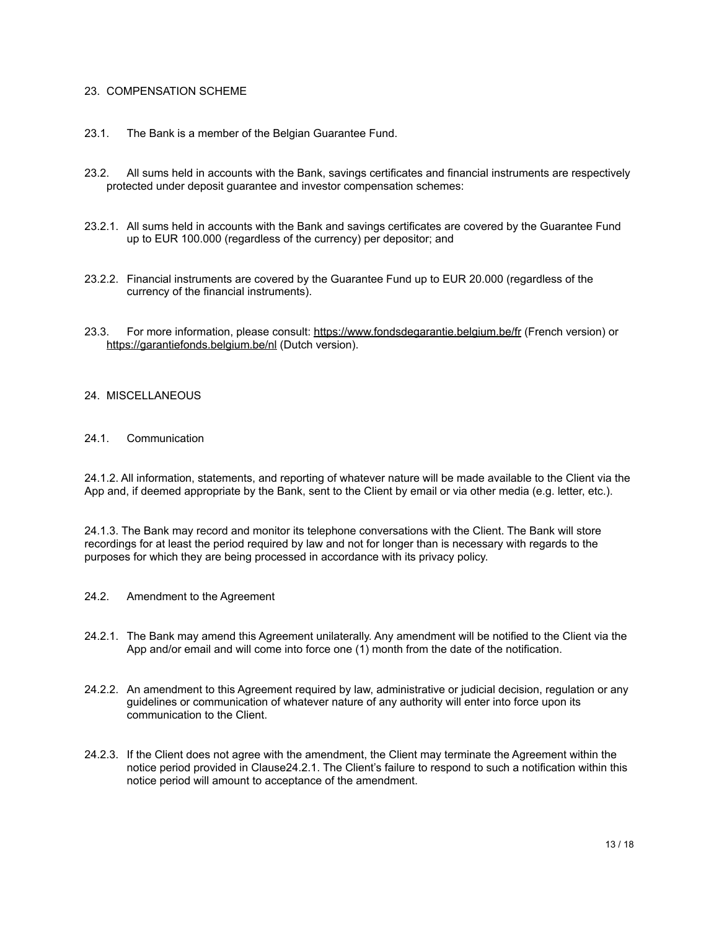## <span id="page-12-0"></span>23. COMPENSATION SCHEME

- 23.1. The Bank is a member of the Belgian Guarantee Fund.
- 23.2. All sums held in accounts with the Bank, savings certificates and financial instruments are respectively protected under deposit guarantee and investor compensation schemes:
- 23.2.1. All sums held in accounts with the Bank and savings certificates are covered by the Guarantee Fund up to EUR 100.000 (regardless of the currency) per depositor; and
- 23.2.2. Financial instruments are covered by the Guarantee Fund up to EUR 20.000 (regardless of the currency of the financial instruments).
- 23.3. For more information, please consult: <https://www.fondsdegarantie.belgium.be/fr> (French version) or <https://garantiefonds.belgium.be/nl> (Dutch version).

#### <span id="page-12-1"></span>24. MISCELLANEOUS

#### 24.1. Communication

24.1.2. All information, statements, and reporting of whatever nature will be made available to the Client via the App and, if deemed appropriate by the Bank, sent to the Client by email or via other media (e.g. letter, etc.).

24.1.3. The Bank may record and monitor its telephone conversations with the Client. The Bank will store recordings for at least the period required by law and not for longer than is necessary with regards to the purposes for which they are being processed in accordance with its privacy policy.

- 24.2. Amendment to the Agreement
- 24.2.1. The Bank may amend this Agreement unilaterally. Any amendment will be notified to the Client via the App and/or email and will come into force one (1) month from the date of the notification.
- 24.2.2. An amendment to this Agreement required by law, administrative or judicial decision, regulation or any guidelines or communication of whatever nature of any authority will enter into force upon its communication to the Client.
- 24.2.3. If the Client does not agree with the amendment, the Client may terminate the Agreement within the notice period provided in Clause24.2.1. The Client's failure to respond to such a notification within this notice period will amount to acceptance of the amendment.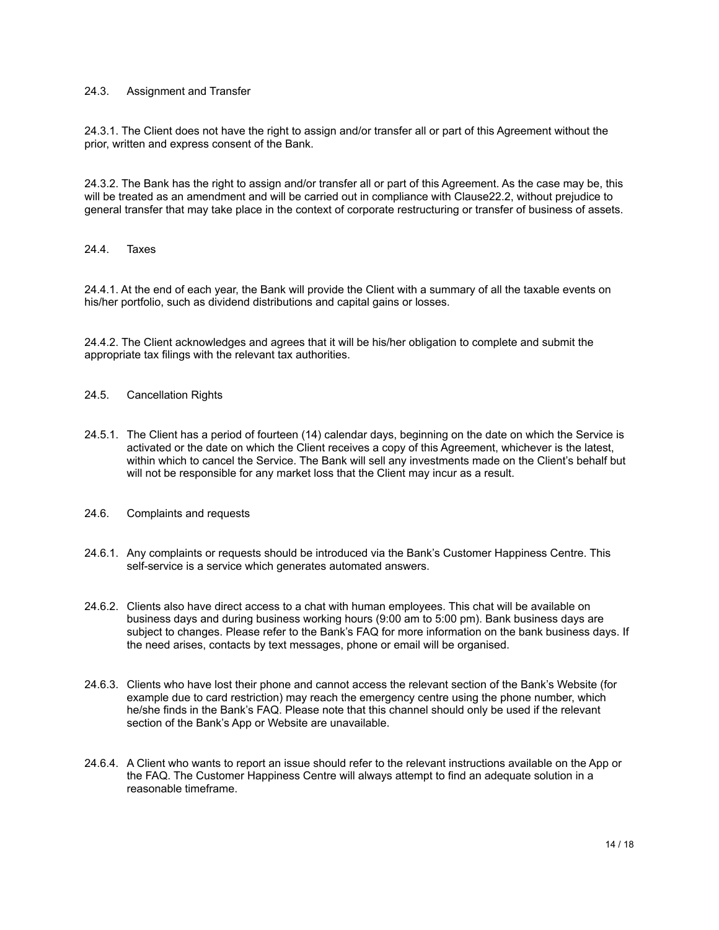## 24.3. Assignment and Transfer

24.3.1. The Client does not have the right to assign and/or transfer all or part of this Agreement without the prior, written and express consent of the Bank.

24.3.2. The Bank has the right to assign and/or transfer all or part of this Agreement. As the case may be, this will be treated as an amendment and will be carried out in compliance with Clause22.2, without prejudice to general transfer that may take place in the context of corporate restructuring or transfer of business of assets.

#### 24.4. Taxes

24.4.1. At the end of each year, the Bank will provide the Client with a summary of all the taxable events on his/her portfolio, such as dividend distributions and capital gains or losses.

24.4.2. The Client acknowledges and agrees that it will be his/her obligation to complete and submit the appropriate tax filings with the relevant tax authorities.

## 24.5. Cancellation Rights

- 24.5.1. The Client has a period of fourteen (14) calendar days, beginning on the date on which the Service is activated or the date on which the Client receives a copy of this Agreement, whichever is the latest, within which to cancel the Service. The Bank will sell any investments made on the Client's behalf but will not be responsible for any market loss that the Client may incur as a result.
- 24.6. Complaints and requests
- 24.6.1. Any complaints or requests should be introduced via the Bank's Customer Happiness Centre. This self-service is a service which generates automated answers.
- 24.6.2. Clients also have direct access to a chat with human employees. This chat will be available on business days and during business working hours (9:00 am to 5:00 pm). Bank business days are subject to changes. Please refer to the Bank's FAQ for more information on the bank business days. If the need arises, contacts by text messages, phone or email will be organised.
- 24.6.3. Clients who have lost their phone and cannot access the relevant section of the Bank's Website (for example due to card restriction) may reach the emergency centre using the phone number, which he/she finds in the Bank's FAQ. Please note that this channel should only be used if the relevant section of the Bank's App or Website are unavailable.
- 24.6.4. A Client who wants to report an issue should refer to the relevant instructions available on the App or the FAQ. The Customer Happiness Centre will always attempt to find an adequate solution in a reasonable timeframe.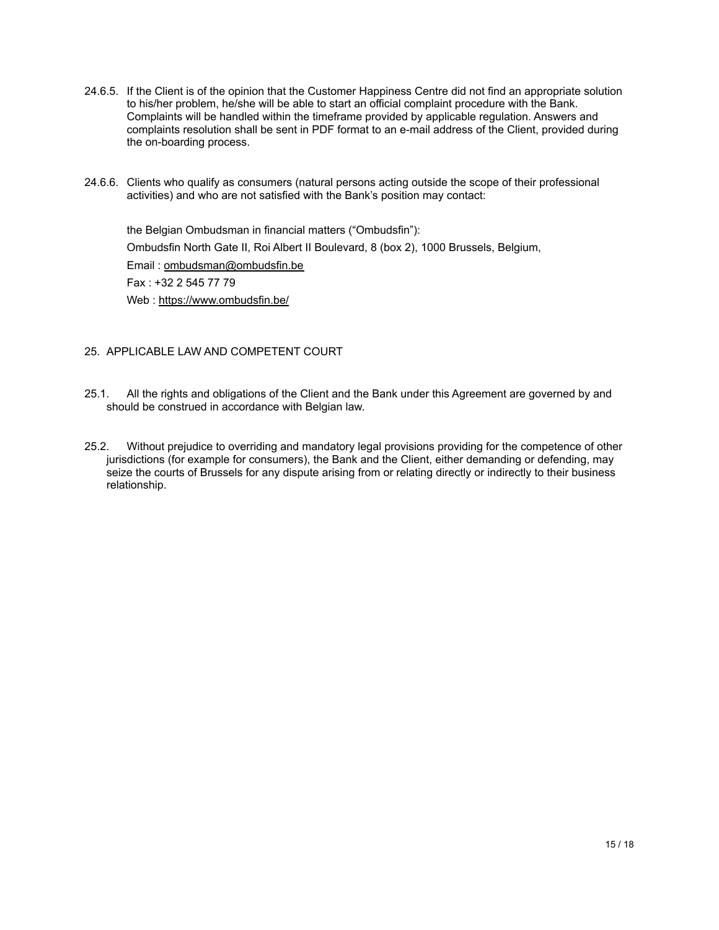- 24.6.5. If the Client is of the opinion that the Customer Happiness Centre did not find an appropriate solution to his/her problem, he/she will be able to start an official complaint procedure with the Bank. Complaints will be handled within the timeframe provided by applicable regulation. Answers and complaints resolution shall be sent in PDF format to an e-mail address of the Client, provided during the on-boarding process.
- 24.6.6. Clients who qualify as consumers (natural persons acting outside the scope of their professional activities) and who are not satisfied with the Bank's position may contact:

the Belgian Ombudsman in financial matters ("Ombudsfin"): Ombudsfin North Gate II, Roi Albert II Boulevard, 8 (box 2), 1000 Brussels, Belgium, Email : [ombudsman@ombudsfin.be](mailto:ombudsman@ombudsfin.be) Fax : +32 2 545 77 79 Web : <https://www.ombudsfin.be/>

# <span id="page-14-0"></span>25. APPLICABLE LAW AND COMPETENT COURT

- 25.1. All the rights and obligations of the Client and the Bank under this Agreement are governed by and should be construed in accordance with Belgian law.
- 25.2. Without prejudice to overriding and mandatory legal provisions providing for the competence of other jurisdictions (for example for consumers), the Bank and the Client, either demanding or defending, may seize the courts of Brussels for any dispute arising from or relating directly or indirectly to their business relationship.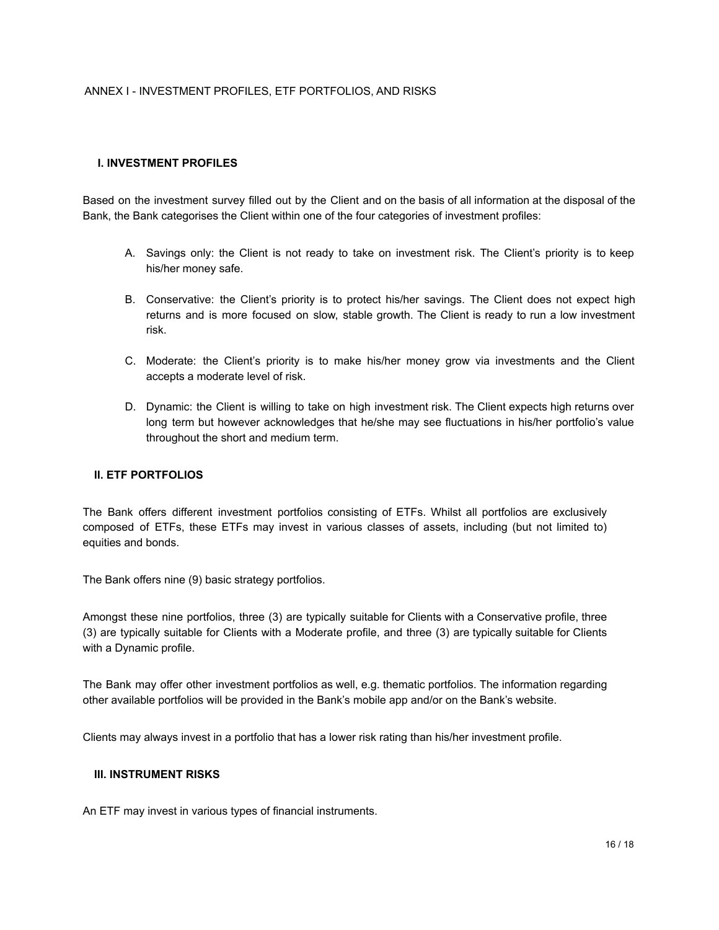# ANNEX I - INVESTMENT PROFILES, ETF PORTFOLIOS, AND RISKS

### **I. INVESTMENT PROFILES**

Based on the investment survey filled out by the Client and on the basis of all information at the disposal of the Bank, the Bank categorises the Client within one of the four categories of investment profiles:

- A. Savings only: the Client is not ready to take on investment risk. The Client's priority is to keep his/her money safe.
- B. Conservative: the Client's priority is to protect his/her savings. The Client does not expect high returns and is more focused on slow, stable growth. The Client is ready to run a low investment risk.
- C. Moderate: the Client's priority is to make his/her money grow via investments and the Client accepts a moderate level of risk.
- D. Dynamic: the Client is willing to take on high investment risk. The Client expects high returns over long term but however acknowledges that he/she may see fluctuations in his/her portfolio's value throughout the short and medium term.

#### **II. ETF PORTFOLIOS**

The Bank offers different investment portfolios consisting of ETFs. Whilst all portfolios are exclusively composed of ETFs, these ETFs may invest in various classes of assets, including (but not limited to) equities and bonds.

The Bank offers nine (9) basic strategy portfolios.

Amongst these nine portfolios, three (3) are typically suitable for Clients with a Conservative profile, three (3) are typically suitable for Clients with a Moderate profile, and three (3) are typically suitable for Clients with a Dynamic profile.

The Bank may offer other investment portfolios as well, e.g. thematic portfolios. The information regarding other available portfolios will be provided in the Bank's mobile app and/or on the Bank's website.

Clients may always invest in a portfolio that has a lower risk rating than his/her investment profile.

## **III. INSTRUMENT RISKS**

An ETF may invest in various types of financial instruments.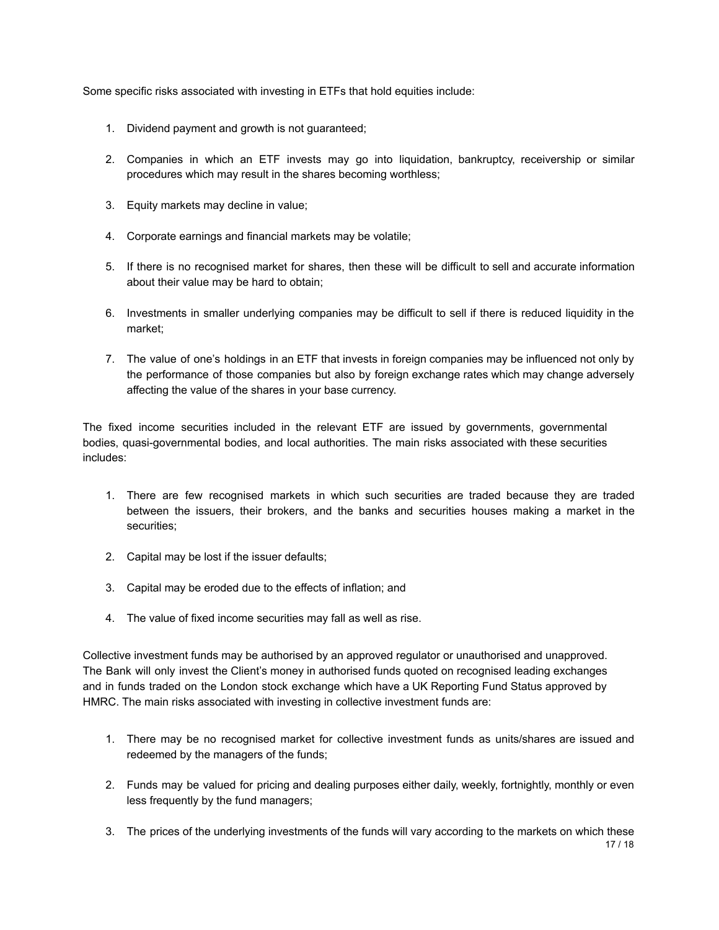Some specific risks associated with investing in ETFs that hold equities include:

- 1. Dividend payment and growth is not guaranteed;
- 2. Companies in which an ETF invests may go into liquidation, bankruptcy, receivership or similar procedures which may result in the shares becoming worthless;
- 3. Equity markets may decline in value;
- 4. Corporate earnings and financial markets may be volatile;
- 5. If there is no recognised market for shares, then these will be difficult to sell and accurate information about their value may be hard to obtain;
- 6. Investments in smaller underlying companies may be difficult to sell if there is reduced liquidity in the market;
- 7. The value of one's holdings in an ETF that invests in foreign companies may be influenced not only by the performance of those companies but also by foreign exchange rates which may change adversely affecting the value of the shares in your base currency.

The fixed income securities included in the relevant ETF are issued by governments, governmental bodies, quasi-governmental bodies, and local authorities. The main risks associated with these securities includes:

- 1. There are few recognised markets in which such securities are traded because they are traded between the issuers, their brokers, and the banks and securities houses making a market in the securities;
- 2. Capital may be lost if the issuer defaults;
- 3. Capital may be eroded due to the effects of inflation; and
- 4. The value of fixed income securities may fall as well as rise.

Collective investment funds may be authorised by an approved regulator or unauthorised and unapproved. The Bank will only invest the Client's money in authorised funds quoted on recognised leading exchanges and in funds traded on the London stock exchange which have a UK Reporting Fund Status approved by HMRC. The main risks associated with investing in collective investment funds are:

- 1. There may be no recognised market for collective investment funds as units/shares are issued and redeemed by the managers of the funds;
- 2. Funds may be valued for pricing and dealing purposes either daily, weekly, fortnightly, monthly or even less frequently by the fund managers;
- 3. The prices of the underlying investments of the funds will vary according to the markets on which these 17 / 18